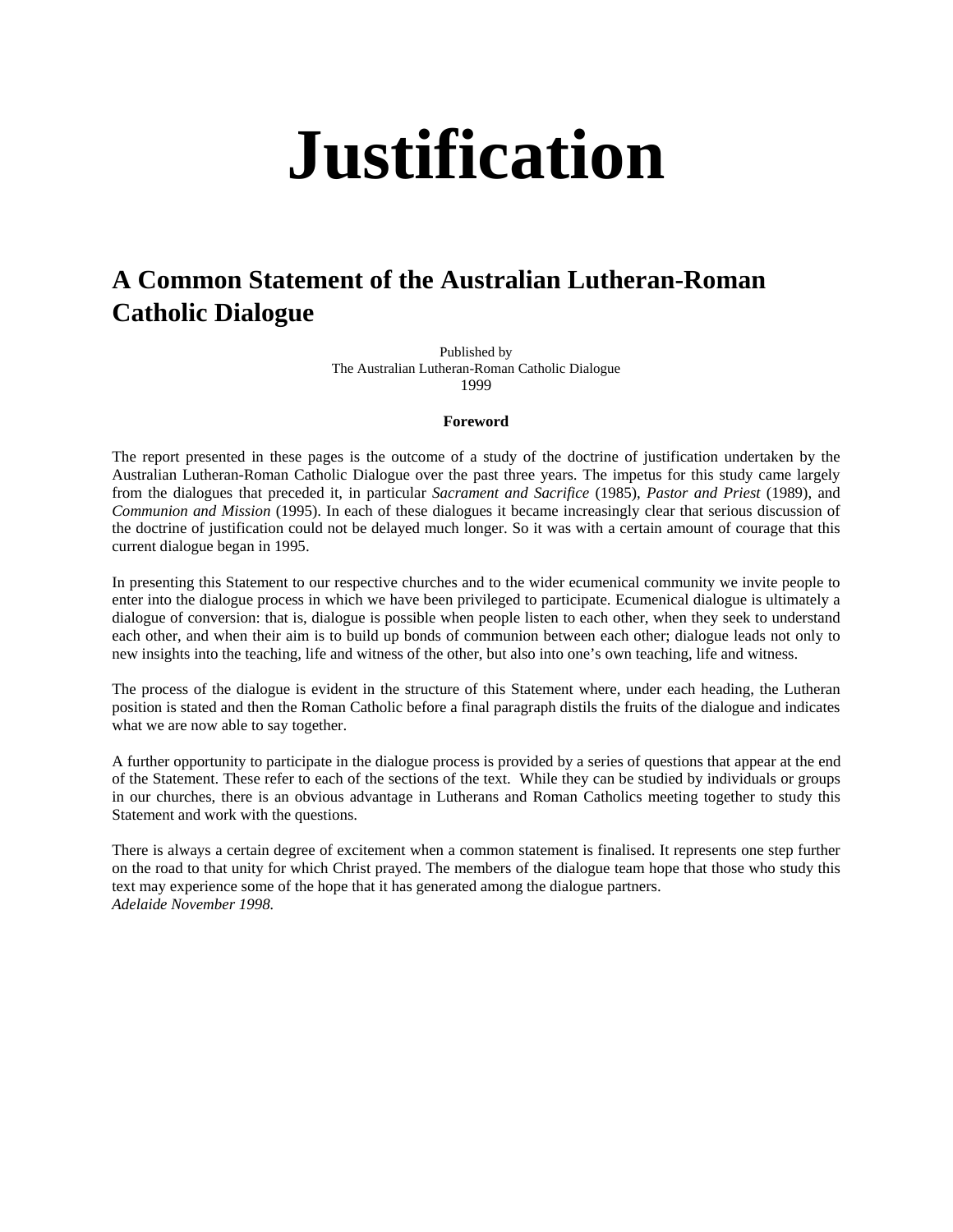# **Justification**

## **A Common Statement of the Australian Lutheran-Roman Catholic Dialogue**

Published by The Australian Lutheran-Roman Catholic Dialogue 1999

#### **Foreword**

The report presented in these pages is the outcome of a study of the doctrine of justification undertaken by the Australian Lutheran-Roman Catholic Dialogue over the past three years. The impetus for this study came largely from the dialogues that preceded it, in particular *Sacrament and Sacrifice* (1985), *Pastor and Priest* (1989), and *Communion and Mission* (1995). In each of these dialogues it became increasingly clear that serious discussion of the doctrine of justification could not be delayed much longer. So it was with a certain amount of courage that this current dialogue began in 1995.

In presenting this Statement to our respective churches and to the wider ecumenical community we invite people to enter into the dialogue process in which we have been privileged to participate. Ecumenical dialogue is ultimately a dialogue of conversion: that is, dialogue is possible when people listen to each other, when they seek to understand each other, and when their aim is to build up bonds of communion between each other; dialogue leads not only to new insights into the teaching, life and witness of the other, but also into one's own teaching, life and witness.

The process of the dialogue is evident in the structure of this Statement where, under each heading, the Lutheran position is stated and then the Roman Catholic before a final paragraph distils the fruits of the dialogue and indicates what we are now able to say together.

A further opportunity to participate in the dialogue process is provided by a series of questions that appear at the end of the Statement. These refer to each of the sections of the text. While they can be studied by individuals or groups in our churches, there is an obvious advantage in Lutherans and Roman Catholics meeting together to study this Statement and work with the questions.

There is always a certain degree of excitement when a common statement is finalised. It represents one step further on the road to that unity for which Christ prayed. The members of the dialogue team hope that those who study this text may experience some of the hope that it has generated among the dialogue partners. *Adelaide November 1998.*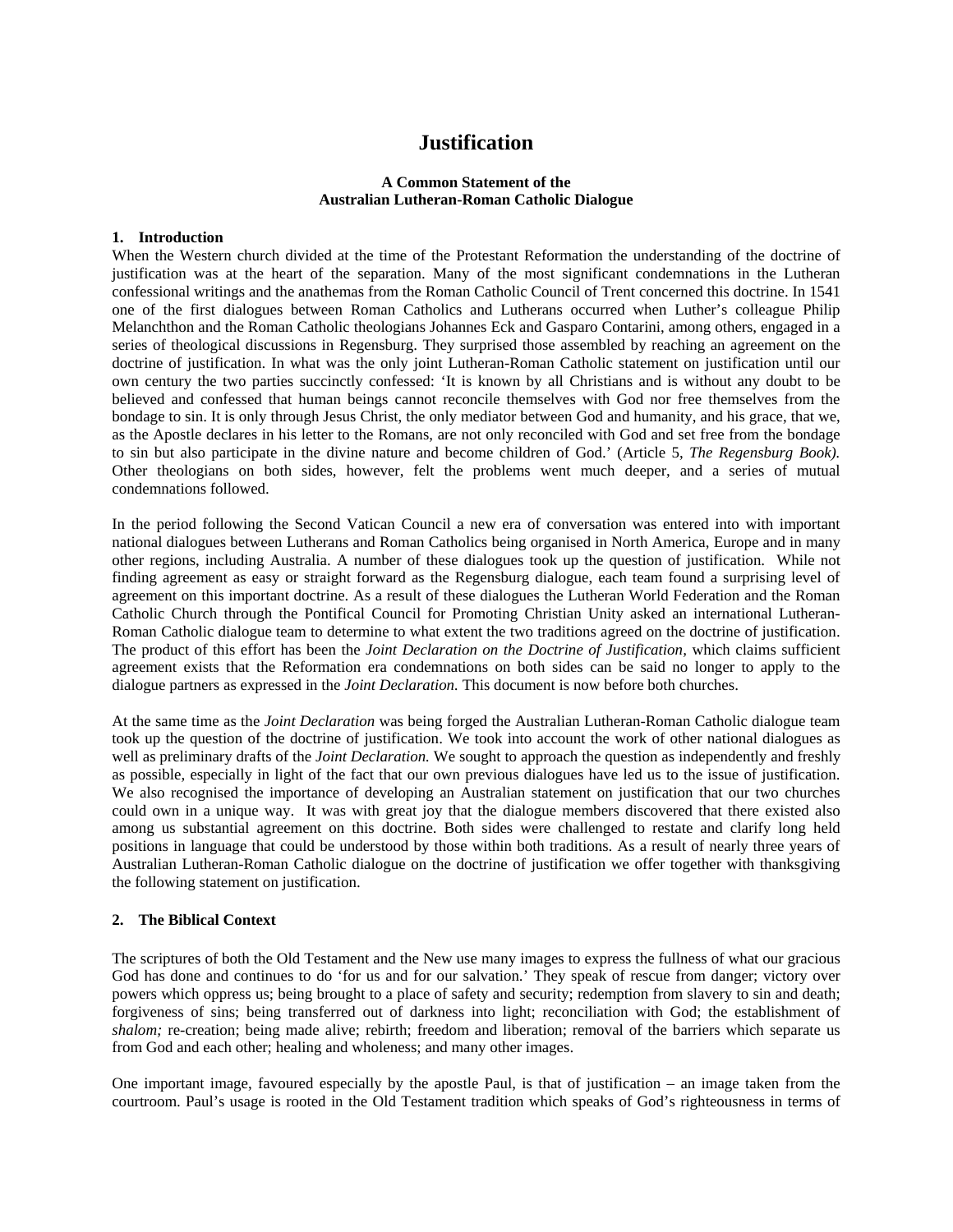## **Justification**

## **A Common Statement of the Australian Lutheran-Roman Catholic Dialogue**

## **1. Introduction**

When the Western church divided at the time of the Protestant Reformation the understanding of the doctrine of justification was at the heart of the separation. Many of the most significant condemnations in the Lutheran confessional writings and the anathemas from the Roman Catholic Council of Trent concerned this doctrine. In 1541 one of the first dialogues between Roman Catholics and Lutherans occurred when Luther's colleague Philip Melanchthon and the Roman Catholic theologians Johannes Eck and Gasparo Contarini, among others, engaged in a series of theological discussions in Regensburg. They surprised those assembled by reaching an agreement on the doctrine of justification. In what was the only joint Lutheran-Roman Catholic statement on justification until our own century the two parties succinctly confessed: 'It is known by all Christians and is without any doubt to be believed and confessed that human beings cannot reconcile themselves with God nor free themselves from the bondage to sin. It is only through Jesus Christ, the only mediator between God and humanity, and his grace, that we, as the Apostle declares in his letter to the Romans, are not only reconciled with God and set free from the bondage to sin but also participate in the divine nature and become children of God.' (Article 5, *The Regensburg Book).*  Other theologians on both sides, however, felt the problems went much deeper, and a series of mutual condemnations followed.

In the period following the Second Vatican Council a new era of conversation was entered into with important national dialogues between Lutherans and Roman Catholics being organised in North America, Europe and in many other regions, including Australia. A number of these dialogues took up the question of justification. While not finding agreement as easy or straight forward as the Regensburg dialogue, each team found a surprising level of agreement on this important doctrine. As a result of these dialogues the Lutheran World Federation and the Roman Catholic Church through the Pontifical Council for Promoting Christian Unity asked an international Lutheran-Roman Catholic dialogue team to determine to what extent the two traditions agreed on the doctrine of justification. The product of this effort has been the *Joint Declaration on the Doctrine of Justification,* which claims sufficient agreement exists that the Reformation era condemnations on both sides can be said no longer to apply to the dialogue partners as expressed in the *Joint Declaration.* This document is now before both churches.

At the same time as the *Joint Declaration* was being forged the Australian Lutheran-Roman Catholic dialogue team took up the question of the doctrine of justification. We took into account the work of other national dialogues as well as preliminary drafts of the *Joint Declaration.* We sought to approach the question as independently and freshly as possible, especially in light of the fact that our own previous dialogues have led us to the issue of justification. We also recognised the importance of developing an Australian statement on justification that our two churches could own in a unique way. It was with great joy that the dialogue members discovered that there existed also among us substantial agreement on this doctrine. Both sides were challenged to restate and clarify long held positions in language that could be understood by those within both traditions. As a result of nearly three years of Australian Lutheran-Roman Catholic dialogue on the doctrine of justification we offer together with thanksgiving the following statement on justification.

## **2. The Biblical Context**

The scriptures of both the Old Testament and the New use many images to express the fullness of what our gracious God has done and continues to do 'for us and for our salvation.' They speak of rescue from danger; victory over powers which oppress us; being brought to a place of safety and security; redemption from slavery to sin and death; forgiveness of sins; being transferred out of darkness into light; reconciliation with God; the establishment of *shalom;* re-creation; being made alive; rebirth; freedom and liberation; removal of the barriers which separate us from God and each other; healing and wholeness; and many other images.

One important image, favoured especially by the apostle Paul, is that of justification – an image taken from the courtroom. Paul's usage is rooted in the Old Testament tradition which speaks of God's righteousness in terms of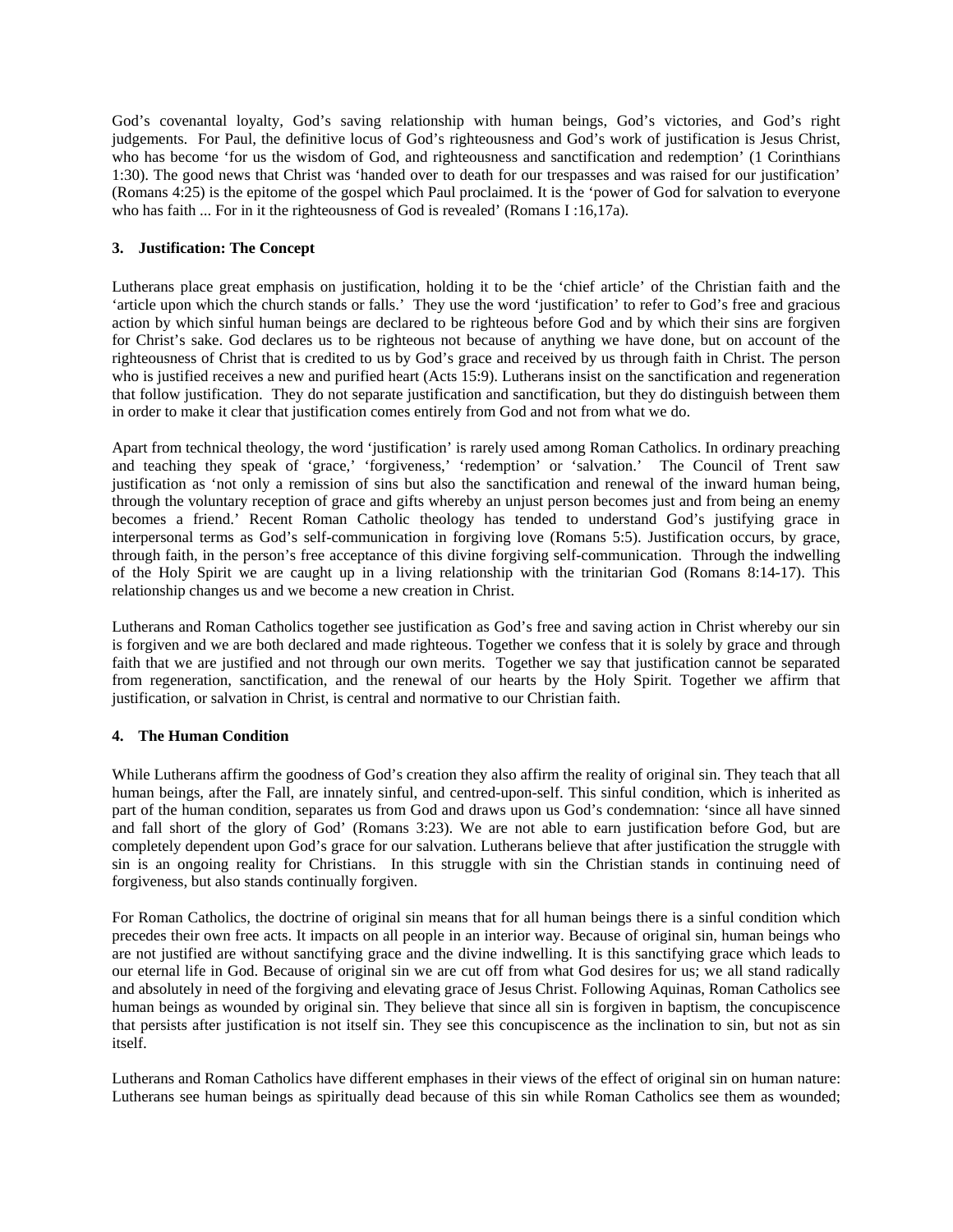God's covenantal loyalty, God's saving relationship with human beings, God's victories, and God's right judgements. For Paul, the definitive locus of God's righteousness and God's work of justification is Jesus Christ, who has become 'for us the wisdom of God, and righteousness and sanctification and redemption' (1 Corinthians 1:30). The good news that Christ was 'handed over to death for our trespasses and was raised for our justification' (Romans 4:25) is the epitome of the gospel which Paul proclaimed. It is the 'power of God for salvation to everyone who has faith ... For in it the righteousness of God is revealed' (Romans I:16,17a).

## **3. Justification: The Concept**

Lutherans place great emphasis on justification, holding it to be the 'chief article' of the Christian faith and the 'article upon which the church stands or falls.' They use the word 'justification' to refer to God's free and gracious action by which sinful human beings are declared to be righteous before God and by which their sins are forgiven for Christ's sake. God declares us to be righteous not because of anything we have done, but on account of the righteousness of Christ that is credited to us by God's grace and received by us through faith in Christ. The person who is justified receives a new and purified heart (Acts 15:9). Lutherans insist on the sanctification and regeneration that follow justification. They do not separate justification and sanctification, but they do distinguish between them in order to make it clear that justification comes entirely from God and not from what we do.

Apart from technical theology, the word 'justification' is rarely used among Roman Catholics. In ordinary preaching and teaching they speak of 'grace,' 'forgiveness,' 'redemption' or 'salvation.' The Council of Trent saw justification as 'not only a remission of sins but also the sanctification and renewal of the inward human being, through the voluntary reception of grace and gifts whereby an unjust person becomes just and from being an enemy becomes a friend.' Recent Roman Catholic theology has tended to understand God's justifying grace in interpersonal terms as God's self-communication in forgiving love (Romans 5:5). Justification occurs, by grace, through faith, in the person's free acceptance of this divine forgiving self-communication. Through the indwelling of the Holy Spirit we are caught up in a living relationship with the trinitarian God (Romans 8:14-17). This relationship changes us and we become a new creation in Christ.

Lutherans and Roman Catholics together see justification as God's free and saving action in Christ whereby our sin is forgiven and we are both declared and made righteous. Together we confess that it is solely by grace and through faith that we are justified and not through our own merits. Together we say that justification cannot be separated from regeneration, sanctification, and the renewal of our hearts by the Holy Spirit. Together we affirm that justification, or salvation in Christ, is central and normative to our Christian faith.

## **4. The Human Condition**

While Lutherans affirm the goodness of God's creation they also affirm the reality of original sin. They teach that all human beings, after the Fall, are innately sinful, and centred-upon-self. This sinful condition, which is inherited as part of the human condition, separates us from God and draws upon us God's condemnation: 'since all have sinned and fall short of the glory of God' (Romans 3:23). We are not able to earn justification before God, but are completely dependent upon God's grace for our salvation. Lutherans believe that after justification the struggle with sin is an ongoing reality for Christians. In this struggle with sin the Christian stands in continuing need of forgiveness, but also stands continually forgiven.

For Roman Catholics, the doctrine of original sin means that for all human beings there is a sinful condition which precedes their own free acts. It impacts on all people in an interior way. Because of original sin, human beings who are not justified are without sanctifying grace and the divine indwelling. It is this sanctifying grace which leads to our eternal life in God. Because of original sin we are cut off from what God desires for us; we all stand radically and absolutely in need of the forgiving and elevating grace of Jesus Christ. Following Aquinas, Roman Catholics see human beings as wounded by original sin. They believe that since all sin is forgiven in baptism, the concupiscence that persists after justification is not itself sin. They see this concupiscence as the inclination to sin, but not as sin itself.

Lutherans and Roman Catholics have different emphases in their views of the effect of original sin on human nature: Lutherans see human beings as spiritually dead because of this sin while Roman Catholics see them as wounded;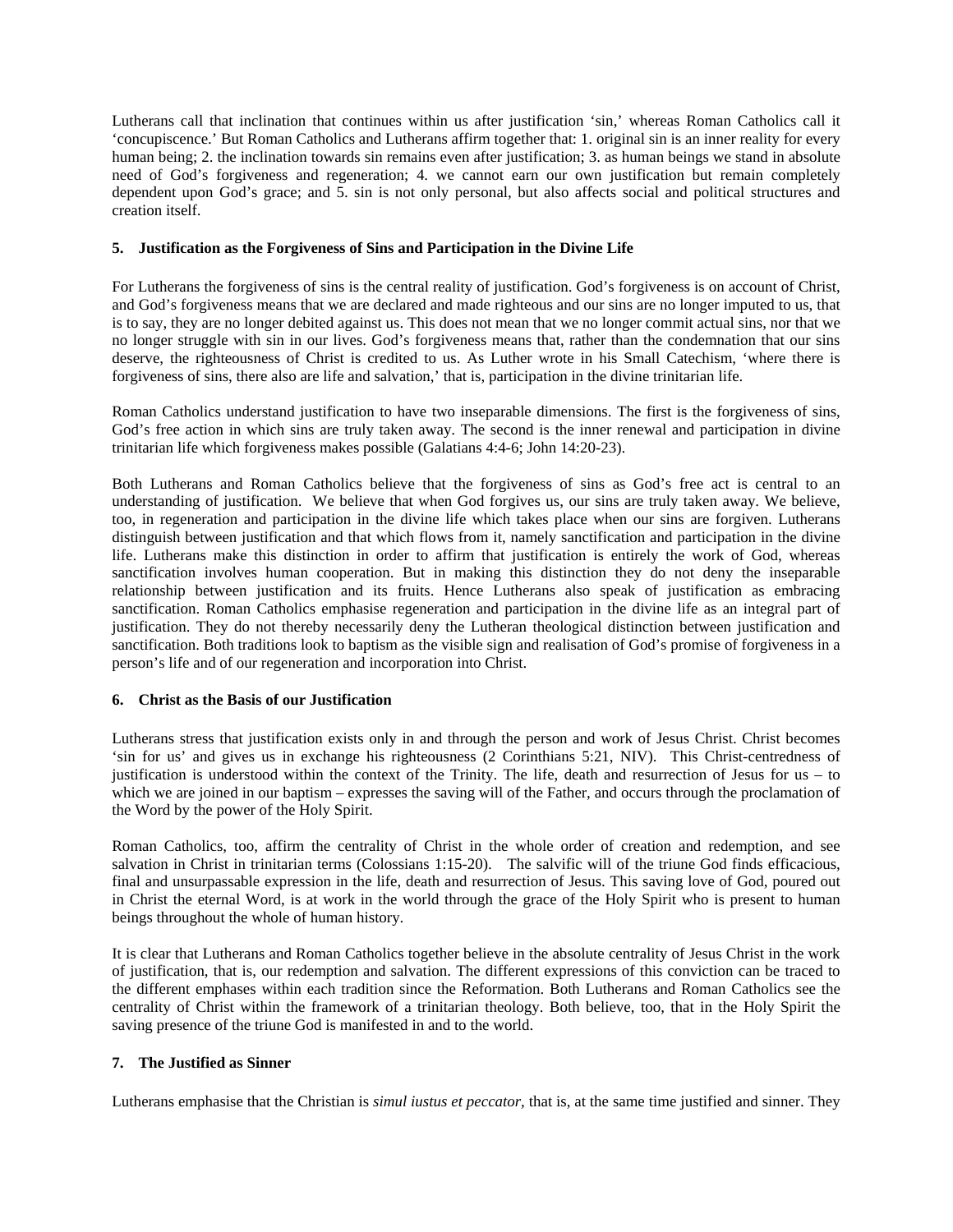Lutherans call that inclination that continues within us after justification 'sin,' whereas Roman Catholics call it 'concupiscence.' But Roman Catholics and Lutherans affirm together that: 1. original sin is an inner reality for every human being; 2. the inclination towards sin remains even after justification; 3. as human beings we stand in absolute need of God's forgiveness and regeneration; 4. we cannot earn our own justification but remain completely dependent upon God's grace; and 5. sin is not only personal, but also affects social and political structures and creation itself.

## **5. Justification as the Forgiveness of Sins and Participation in the Divine Life**

For Lutherans the forgiveness of sins is the central reality of justification. God's forgiveness is on account of Christ, and God's forgiveness means that we are declared and made righteous and our sins are no longer imputed to us, that is to say, they are no longer debited against us. This does not mean that we no longer commit actual sins, nor that we no longer struggle with sin in our lives. God's forgiveness means that, rather than the condemnation that our sins deserve, the righteousness of Christ is credited to us. As Luther wrote in his Small Catechism, 'where there is forgiveness of sins, there also are life and salvation,' that is, participation in the divine trinitarian life.

Roman Catholics understand justification to have two inseparable dimensions. The first is the forgiveness of sins, God's free action in which sins are truly taken away. The second is the inner renewal and participation in divine trinitarian life which forgiveness makes possible (Galatians 4:4-6; John 14:20-23).

Both Lutherans and Roman Catholics believe that the forgiveness of sins as God's free act is central to an understanding of justification. We believe that when God forgives us, our sins are truly taken away. We believe, too, in regeneration and participation in the divine life which takes place when our sins are forgiven. Lutherans distinguish between justification and that which flows from it, namely sanctification and participation in the divine life. Lutherans make this distinction in order to affirm that justification is entirely the work of God, whereas sanctification involves human cooperation. But in making this distinction they do not deny the inseparable relationship between justification and its fruits. Hence Lutherans also speak of justification as embracing sanctification. Roman Catholics emphasise regeneration and participation in the divine life as an integral part of justification. They do not thereby necessarily deny the Lutheran theological distinction between justification and sanctification. Both traditions look to baptism as the visible sign and realisation of God's promise of forgiveness in a person's life and of our regeneration and incorporation into Christ.

## **6. Christ as the Basis of our Justification**

Lutherans stress that justification exists only in and through the person and work of Jesus Christ. Christ becomes 'sin for us' and gives us in exchange his righteousness (2 Corinthians 5:21, NIV). This Christ-centredness of justification is understood within the context of the Trinity. The life, death and resurrection of Jesus for us – to which we are joined in our baptism – expresses the saving will of the Father, and occurs through the proclamation of the Word by the power of the Holy Spirit.

Roman Catholics, too, affirm the centrality of Christ in the whole order of creation and redemption, and see salvation in Christ in trinitarian terms (Colossians 1:15-20). The salvific will of the triune God finds efficacious, final and unsurpassable expression in the life, death and resurrection of Jesus. This saving love of God, poured out in Christ the eternal Word, is at work in the world through the grace of the Holy Spirit who is present to human beings throughout the whole of human history.

It is clear that Lutherans and Roman Catholics together believe in the absolute centrality of Jesus Christ in the work of justification, that is, our redemption and salvation. The different expressions of this conviction can be traced to the different emphases within each tradition since the Reformation. Both Lutherans and Roman Catholics see the centrality of Christ within the framework of a trinitarian theology. Both believe, too, that in the Holy Spirit the saving presence of the triune God is manifested in and to the world.

## **7. The Justified as Sinner**

Lutherans emphasise that the Christian is *simul iustus et peccator,* that is, at the same time justified and sinner. They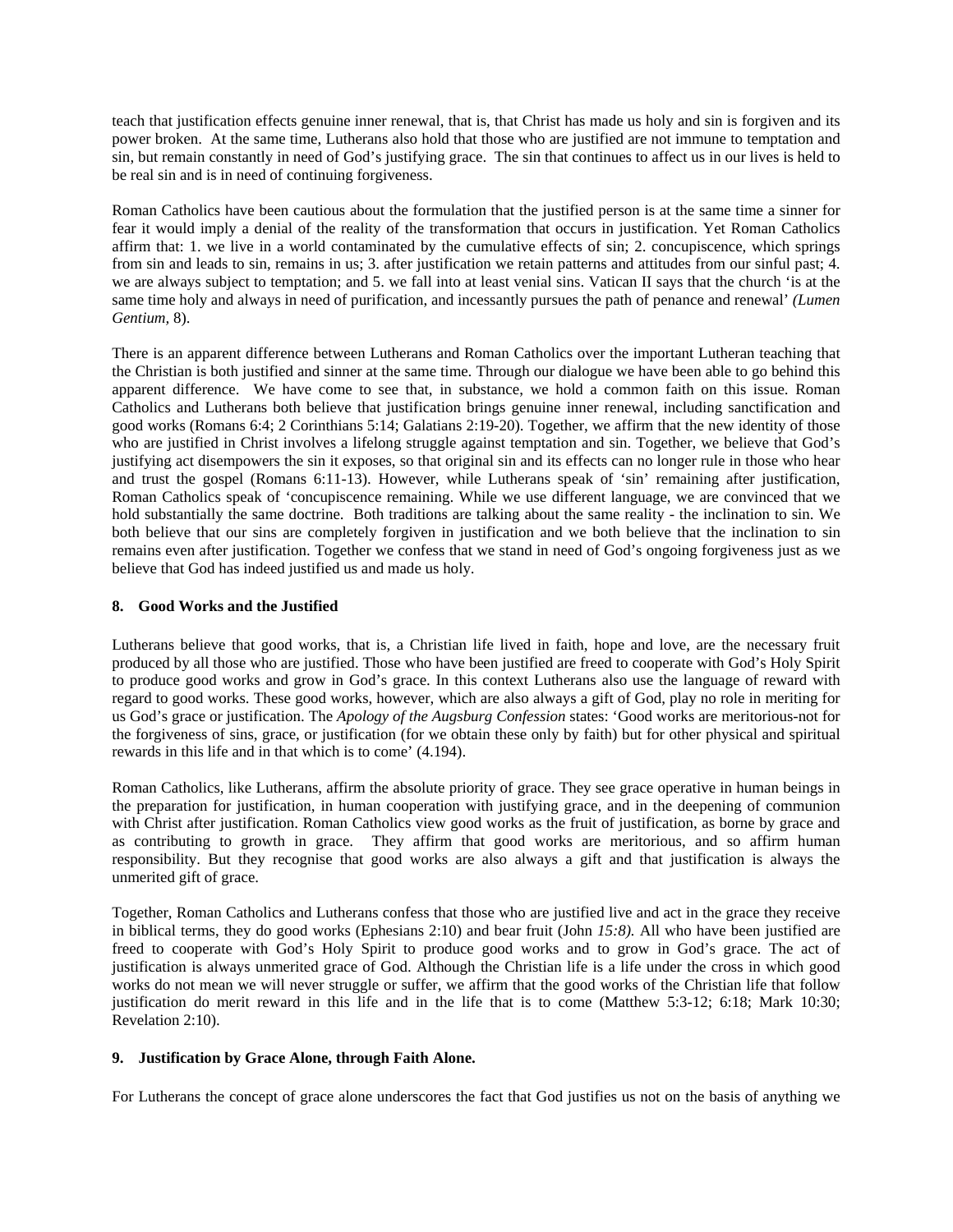teach that justification effects genuine inner renewal, that is, that Christ has made us holy and sin is forgiven and its power broken. At the same time, Lutherans also hold that those who are justified are not immune to temptation and sin, but remain constantly in need of God's justifying grace. The sin that continues to affect us in our lives is held to be real sin and is in need of continuing forgiveness.

Roman Catholics have been cautious about the formulation that the justified person is at the same time a sinner for fear it would imply a denial of the reality of the transformation that occurs in justification. Yet Roman Catholics affirm that: 1. we live in a world contaminated by the cumulative effects of sin; 2. concupiscence, which springs from sin and leads to sin, remains in us; 3. after justification we retain patterns and attitudes from our sinful past; 4. we are always subject to temptation; and 5. we fall into at least venial sins. Vatican II says that the church 'is at the same time holy and always in need of purification, and incessantly pursues the path of penance and renewal' *(Lumen Gentium,* 8).

There is an apparent difference between Lutherans and Roman Catholics over the important Lutheran teaching that the Christian is both justified and sinner at the same time. Through our dialogue we have been able to go behind this apparent difference. We have come to see that, in substance, we hold a common faith on this issue. Roman Catholics and Lutherans both believe that justification brings genuine inner renewal, including sanctification and good works (Romans 6:4; 2 Corinthians 5:14; Galatians 2:19-20). Together, we affirm that the new identity of those who are justified in Christ involves a lifelong struggle against temptation and sin. Together, we believe that God's justifying act disempowers the sin it exposes, so that original sin and its effects can no longer rule in those who hear and trust the gospel (Romans 6:11-13). However, while Lutherans speak of 'sin' remaining after justification, Roman Catholics speak of 'concupiscence remaining. While we use different language, we are convinced that we hold substantially the same doctrine. Both traditions are talking about the same reality - the inclination to sin. We both believe that our sins are completely forgiven in justification and we both believe that the inclination to sin remains even after justification. Together we confess that we stand in need of God's ongoing forgiveness just as we believe that God has indeed justified us and made us holy.

## **8. Good Works and the Justified**

Lutherans believe that good works, that is, a Christian life lived in faith, hope and love, are the necessary fruit produced by all those who are justified. Those who have been justified are freed to cooperate with God's Holy Spirit to produce good works and grow in God's grace. In this context Lutherans also use the language of reward with regard to good works. These good works, however, which are also always a gift of God, play no role in meriting for us God's grace or justification. The *Apology of the Augsburg Confession* states: 'Good works are meritorious-not for the forgiveness of sins, grace, or justification (for we obtain these only by faith) but for other physical and spiritual rewards in this life and in that which is to come' (4.194).

Roman Catholics, like Lutherans, affirm the absolute priority of grace. They see grace operative in human beings in the preparation for justification, in human cooperation with justifying grace, and in the deepening of communion with Christ after justification. Roman Catholics view good works as the fruit of justification, as borne by grace and as contributing to growth in grace. They affirm that good works are meritorious, and so affirm human responsibility. But they recognise that good works are also always a gift and that justification is always the unmerited gift of grace.

Together, Roman Catholics and Lutherans confess that those who are justified live and act in the grace they receive in biblical terms, they do good works (Ephesians 2:10) and bear fruit (John *15:8).* All who have been justified are freed to cooperate with God's Holy Spirit to produce good works and to grow in God's grace. The act of justification is always unmerited grace of God. Although the Christian life is a life under the cross in which good works do not mean we will never struggle or suffer, we affirm that the good works of the Christian life that follow justification do merit reward in this life and in the life that is to come (Matthew 5:3-12; 6:18; Mark 10:30; Revelation 2:10).

## **9. Justification by Grace Alone, through Faith Alone.**

For Lutherans the concept of grace alone underscores the fact that God justifies us not on the basis of anything we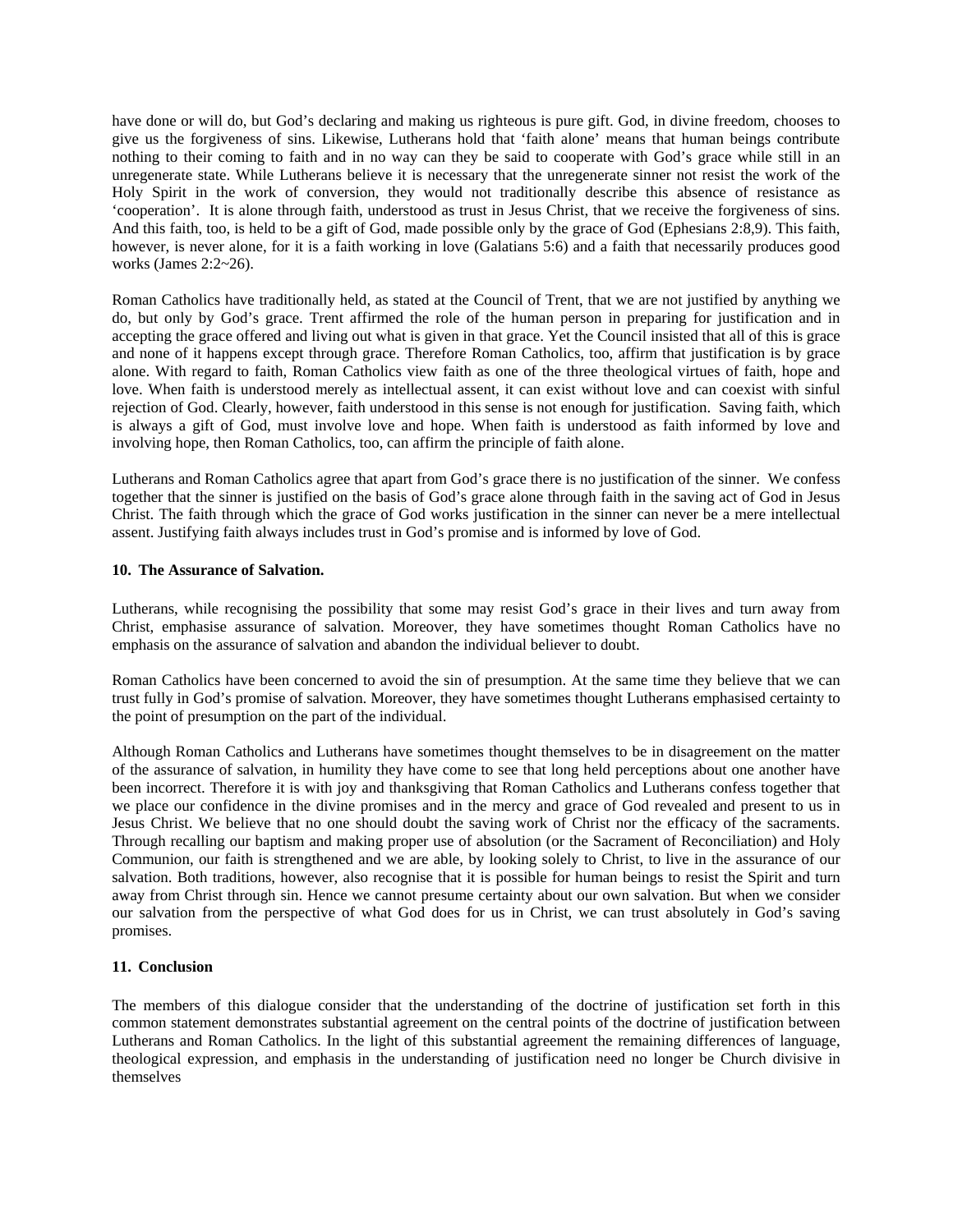have done or will do, but God's declaring and making us righteous is pure gift. God, in divine freedom, chooses to give us the forgiveness of sins. Likewise, Lutherans hold that 'faith alone' means that human beings contribute nothing to their coming to faith and in no way can they be said to cooperate with God's grace while still in an unregenerate state. While Lutherans believe it is necessary that the unregenerate sinner not resist the work of the Holy Spirit in the work of conversion, they would not traditionally describe this absence of resistance as 'cooperation'. It is alone through faith, understood as trust in Jesus Christ, that we receive the forgiveness of sins. And this faith, too, is held to be a gift of God, made possible only by the grace of God (Ephesians 2:8,9). This faith, however, is never alone, for it is a faith working in love (Galatians 5:6) and a faith that necessarily produces good works (James 2:2~26).

Roman Catholics have traditionally held, as stated at the Council of Trent, that we are not justified by anything we do, but only by God's grace. Trent affirmed the role of the human person in preparing for justification and in accepting the grace offered and living out what is given in that grace. Yet the Council insisted that all of this is grace and none of it happens except through grace. Therefore Roman Catholics, too, affirm that justification is by grace alone. With regard to faith, Roman Catholics view faith as one of the three theological virtues of faith, hope and love. When faith is understood merely as intellectual assent, it can exist without love and can coexist with sinful rejection of God. Clearly, however, faith understood in this sense is not enough for justification. Saving faith, which is always a gift of God, must involve love and hope. When faith is understood as faith informed by love and involving hope, then Roman Catholics, too, can affirm the principle of faith alone.

Lutherans and Roman Catholics agree that apart from God's grace there is no justification of the sinner. We confess together that the sinner is justified on the basis of God's grace alone through faith in the saving act of God in Jesus Christ. The faith through which the grace of God works justification in the sinner can never be a mere intellectual assent. Justifying faith always includes trust in God's promise and is informed by love of God.

## **10. The Assurance of Salvation.**

Lutherans, while recognising the possibility that some may resist God's grace in their lives and turn away from Christ, emphasise assurance of salvation. Moreover, they have sometimes thought Roman Catholics have no emphasis on the assurance of salvation and abandon the individual believer to doubt.

Roman Catholics have been concerned to avoid the sin of presumption. At the same time they believe that we can trust fully in God's promise of salvation. Moreover, they have sometimes thought Lutherans emphasised certainty to the point of presumption on the part of the individual.

Although Roman Catholics and Lutherans have sometimes thought themselves to be in disagreement on the matter of the assurance of salvation, in humility they have come to see that long held perceptions about one another have been incorrect. Therefore it is with joy and thanksgiving that Roman Catholics and Lutherans confess together that we place our confidence in the divine promises and in the mercy and grace of God revealed and present to us in Jesus Christ. We believe that no one should doubt the saving work of Christ nor the efficacy of the sacraments. Through recalling our baptism and making proper use of absolution (or the Sacrament of Reconciliation) and Holy Communion, our faith is strengthened and we are able, by looking solely to Christ, to live in the assurance of our salvation. Both traditions, however, also recognise that it is possible for human beings to resist the Spirit and turn away from Christ through sin. Hence we cannot presume certainty about our own salvation. But when we consider our salvation from the perspective of what God does for us in Christ, we can trust absolutely in God's saving promises.

## **11. Conclusion**

The members of this dialogue consider that the understanding of the doctrine of justification set forth in this common statement demonstrates substantial agreement on the central points of the doctrine of justification between Lutherans and Roman Catholics. In the light of this substantial agreement the remaining differences of language, theological expression, and emphasis in the understanding of justification need no longer be Church divisive in themselves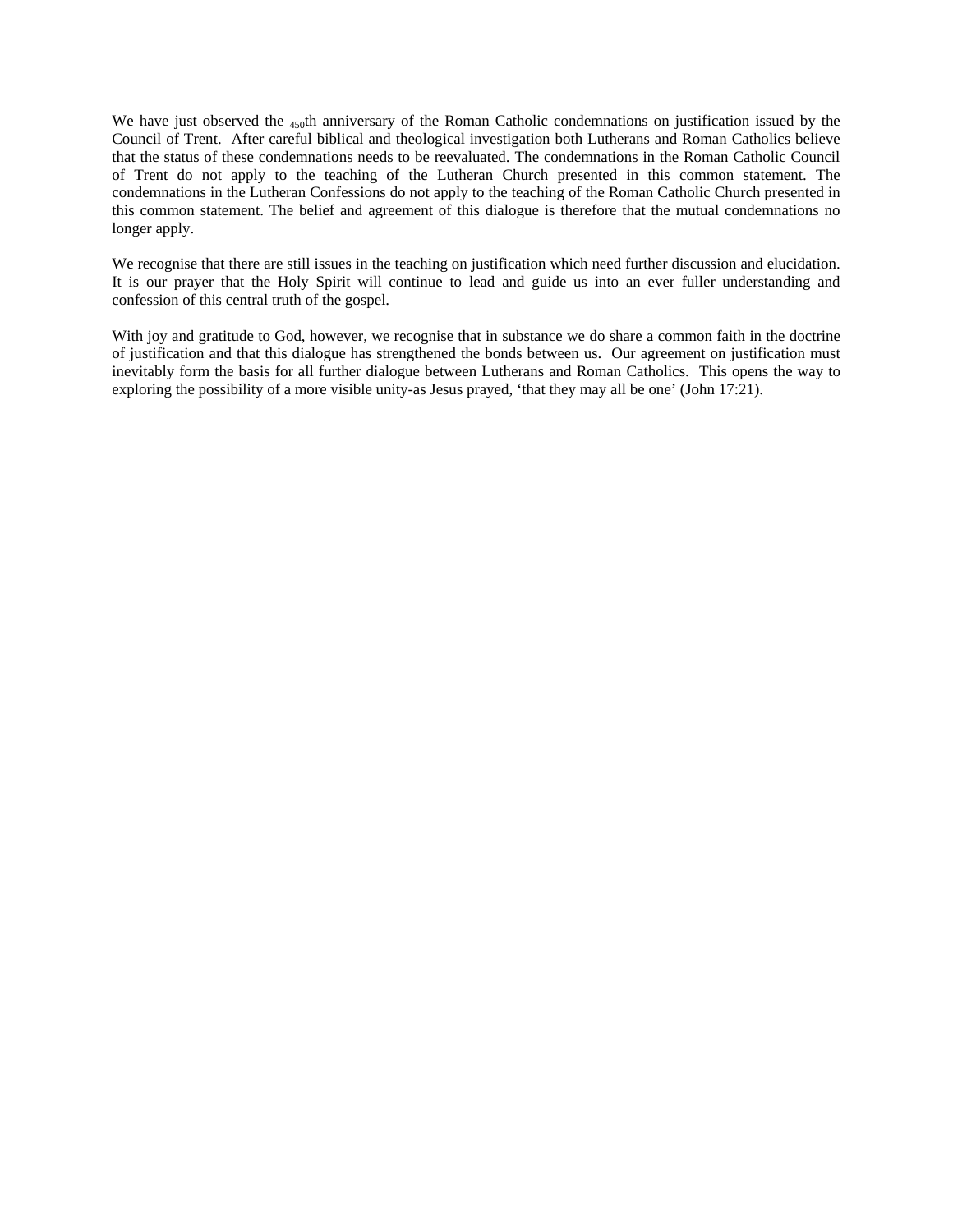We have just observed the 450th anniversary of the Roman Catholic condemnations on justification issued by the Council of Trent. After careful biblical and theological investigation both Lutherans and Roman Catholics believe that the status of these condemnations needs to be reevaluated. The condemnations in the Roman Catholic Council of Trent do not apply to the teaching of the Lutheran Church presented in this common statement. The condemnations in the Lutheran Confessions do not apply to the teaching of the Roman Catholic Church presented in this common statement. The belief and agreement of this dialogue is therefore that the mutual condemnations no longer apply.

We recognise that there are still issues in the teaching on justification which need further discussion and elucidation. It is our prayer that the Holy Spirit will continue to lead and guide us into an ever fuller understanding and confession of this central truth of the gospel.

With joy and gratitude to God, however, we recognise that in substance we do share a common faith in the doctrine of justification and that this dialogue has strengthened the bonds between us. Our agreement on justification must inevitably form the basis for all further dialogue between Lutherans and Roman Catholics. This opens the way to exploring the possibility of a more visible unity-as Jesus prayed, 'that they may all be one' (John 17:21).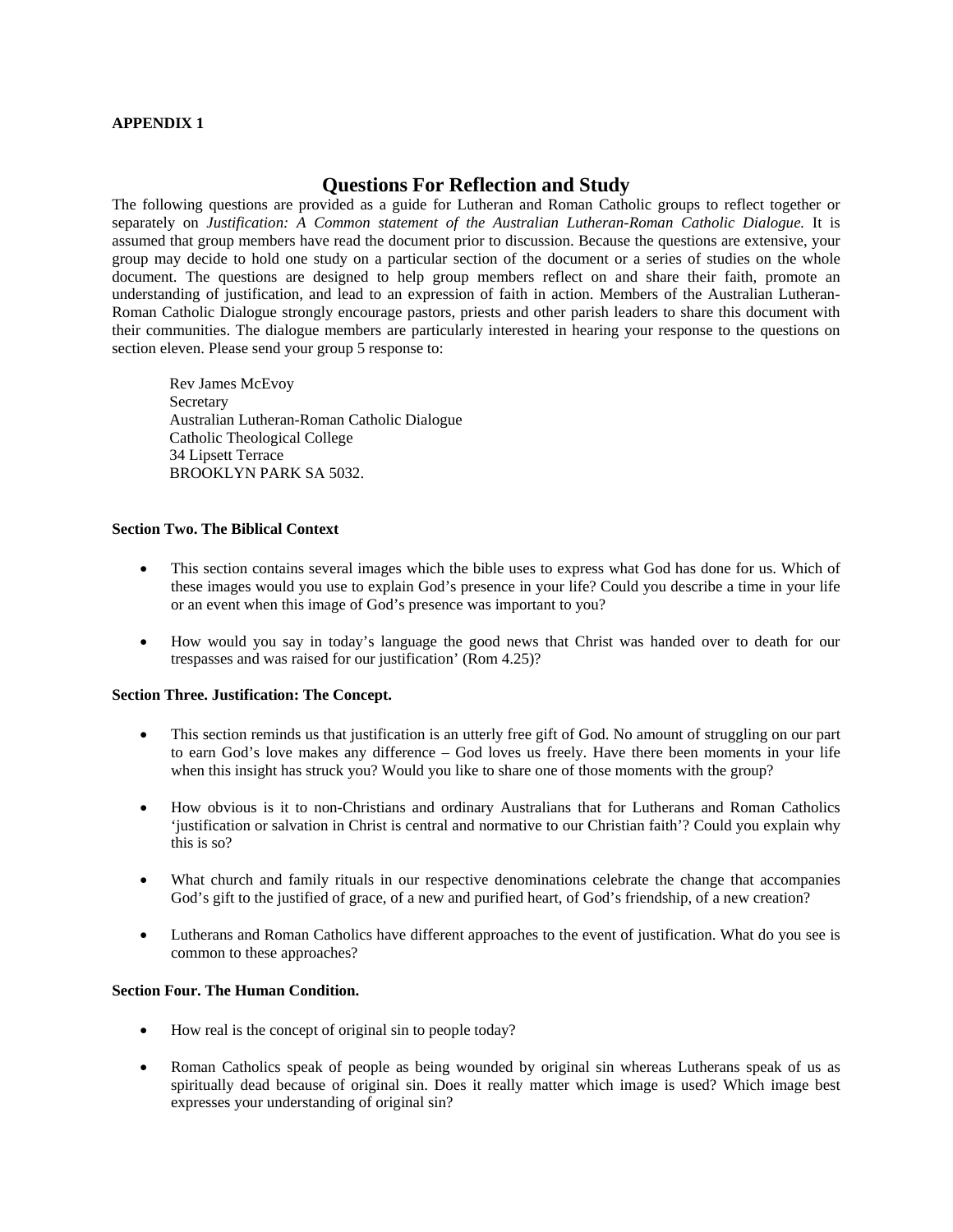## **APPENDIX 1**

## **Questions For Reflection and Study**

The following questions are provided as a guide for Lutheran and Roman Catholic groups to reflect together or separately on *Justification: A Common statement of the Australian Lutheran-Roman Catholic Dialogue.* It is assumed that group members have read the document prior to discussion. Because the questions are extensive, your group may decide to hold one study on a particular section of the document or a series of studies on the whole document. The questions are designed to help group members reflect on and share their faith, promote an understanding of justification, and lead to an expression of faith in action. Members of the Australian Lutheran-Roman Catholic Dialogue strongly encourage pastors, priests and other parish leaders to share this document with their communities. The dialogue members are particularly interested in hearing your response to the questions on section eleven. Please send your group 5 response to:

Rev James McEvoy Secretary Australian Lutheran-Roman Catholic Dialogue Catholic Theological College 34 Lipsett Terrace BROOKLYN PARK SA 5032.

## **Section Two. The Biblical Context**

- This section contains several images which the bible uses to express what God has done for us. Which of these images would you use to explain God's presence in your life? Could you describe a time in your life or an event when this image of God's presence was important to you?
- How would you say in today's language the good news that Christ was handed over to death for our trespasses and was raised for our justification' (Rom 4.25)?

## **Section Three. Justification: The Concept.**

- This section reminds us that justification is an utterly free gift of God. No amount of struggling on our part to earn God's love makes any difference – God loves us freely. Have there been moments in your life when this insight has struck you? Would you like to share one of those moments with the group?
- How obvious is it to non-Christians and ordinary Australians that for Lutherans and Roman Catholics 'justification or salvation in Christ is central and normative to our Christian faith'? Could you explain why this is so?
- What church and family rituals in our respective denominations celebrate the change that accompanies God's gift to the justified of grace, of a new and purified heart, of God's friendship, of a new creation?
- Lutherans and Roman Catholics have different approaches to the event of justification. What do you see is common to these approaches?

## **Section Four. The Human Condition.**

- How real is the concept of original sin to people today?
- Roman Catholics speak of people as being wounded by original sin whereas Lutherans speak of us as spiritually dead because of original sin. Does it really matter which image is used? Which image best expresses your understanding of original sin?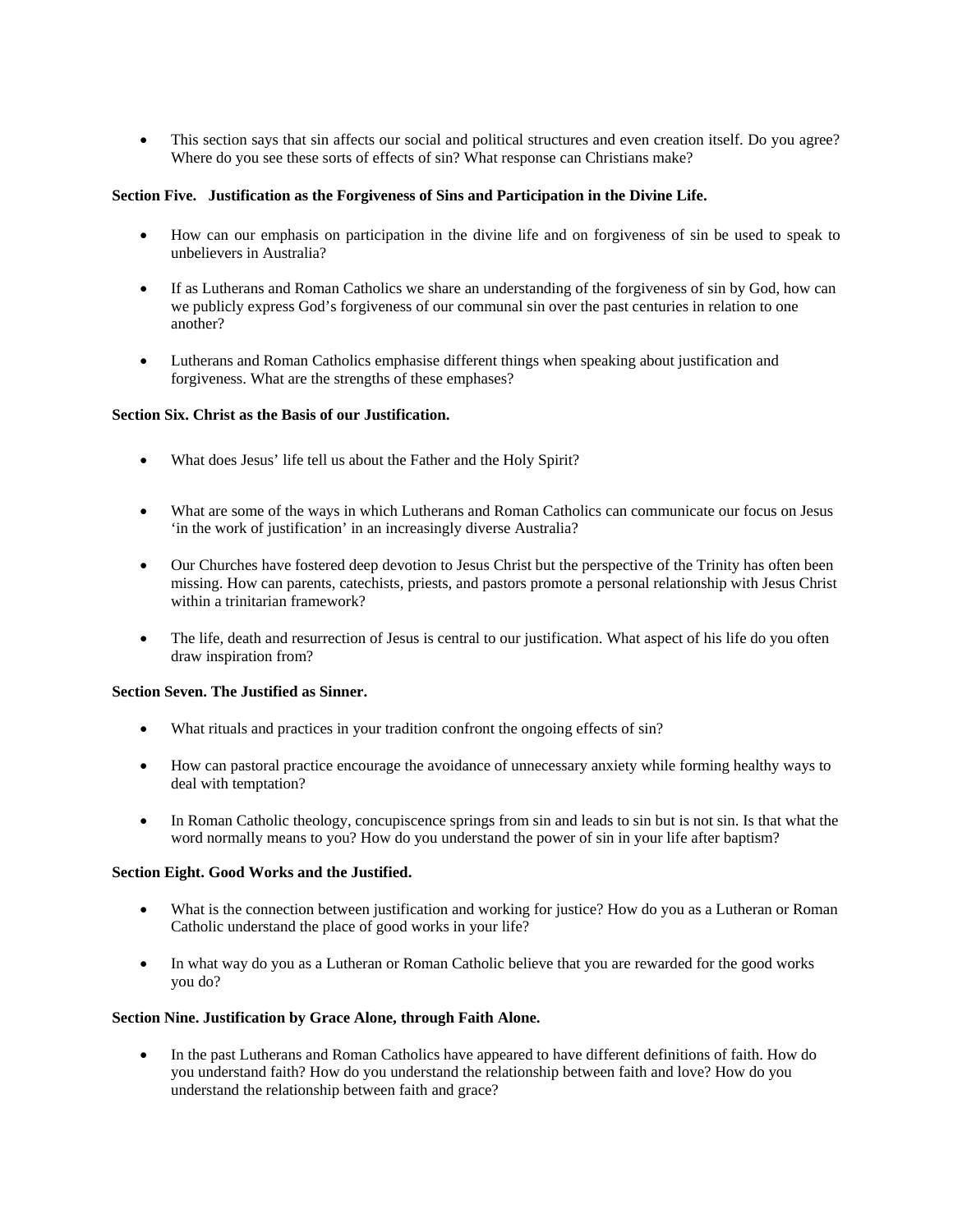• This section says that sin affects our social and political structures and even creation itself. Do you agree? Where do you see these sorts of effects of sin? What response can Christians make?

## **Section Five. Justification as the Forgiveness of Sins and Participation in the Divine Life.**

- How can our emphasis on participation in the divine life and on forgiveness of sin be used to speak to unbelievers in Australia?
- If as Lutherans and Roman Catholics we share an understanding of the forgiveness of sin by God, how can we publicly express God's forgiveness of our communal sin over the past centuries in relation to one another?
- Lutherans and Roman Catholics emphasise different things when speaking about justification and forgiveness. What are the strengths of these emphases?

## **Section Six. Christ as the Basis of our Justification.**

- What does Jesus' life tell us about the Father and the Holy Spirit?
- What are some of the ways in which Lutherans and Roman Catholics can communicate our focus on Jesus 'in the work of justification' in an increasingly diverse Australia?
- Our Churches have fostered deep devotion to Jesus Christ but the perspective of the Trinity has often been missing. How can parents, catechists, priests, and pastors promote a personal relationship with Jesus Christ within a trinitarian framework?
- The life, death and resurrection of Jesus is central to our justification. What aspect of his life do you often draw inspiration from?

## **Section Seven. The Justified as Sinner.**

- What rituals and practices in your tradition confront the ongoing effects of sin?
- How can pastoral practice encourage the avoidance of unnecessary anxiety while forming healthy ways to deal with temptation?
- In Roman Catholic theology, concupiscence springs from sin and leads to sin but is not sin. Is that what the word normally means to you? How do you understand the power of sin in your life after baptism?

## **Section Eight. Good Works and the Justified.**

- What is the connection between justification and working for justice? How do you as a Lutheran or Roman Catholic understand the place of good works in your life?
- In what way do you as a Lutheran or Roman Catholic believe that you are rewarded for the good works you do?

## **Section Nine. Justification by Grace Alone, through Faith Alone.**

• In the past Lutherans and Roman Catholics have appeared to have different definitions of faith. How do you understand faith? How do you understand the relationship between faith and love? How do you understand the relationship between faith and grace?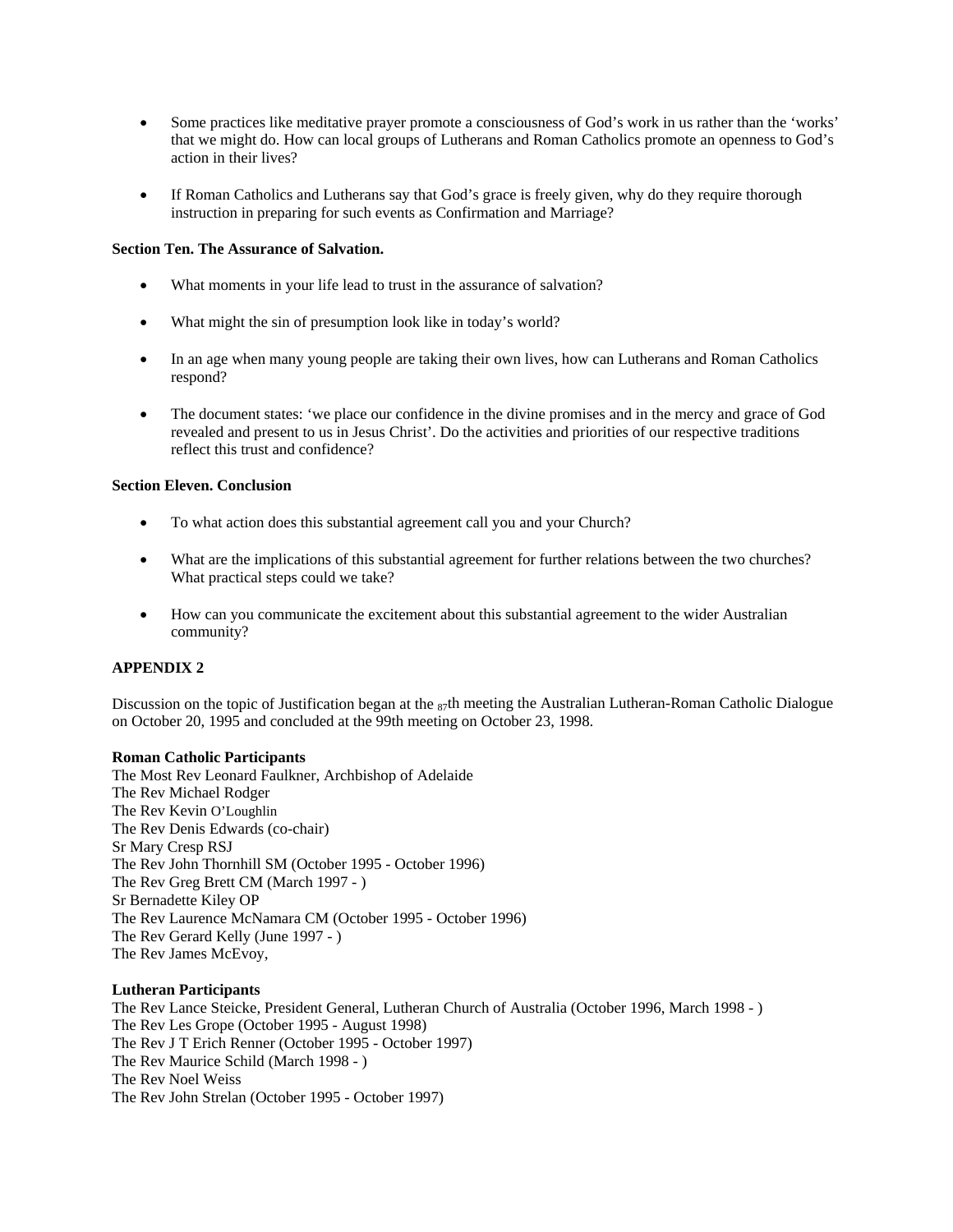- Some practices like meditative prayer promote a consciousness of God's work in us rather than the 'works' that we might do. How can local groups of Lutherans and Roman Catholics promote an openness to God's action in their lives?
- If Roman Catholics and Lutherans say that God's grace is freely given, why do they require thorough instruction in preparing for such events as Confirmation and Marriage?

## **Section Ten. The Assurance of Salvation.**

- What moments in your life lead to trust in the assurance of salvation?
- What might the sin of presumption look like in today's world?
- In an age when many young people are taking their own lives, how can Lutherans and Roman Catholics respond?
- The document states: 'we place our confidence in the divine promises and in the mercy and grace of God revealed and present to us in Jesus Christ'. Do the activities and priorities of our respective traditions reflect this trust and confidence?

## **Section Eleven. Conclusion**

- To what action does this substantial agreement call you and your Church?
- What are the implications of this substantial agreement for further relations between the two churches? What practical steps could we take?
- How can you communicate the excitement about this substantial agreement to the wider Australian community?

## **APPENDIX 2**

Discussion on the topic of Justification began at the  $_{87}$ th meeting the Australian Lutheran-Roman Catholic Dialogue on October 20, 1995 and concluded at the 99th meeting on October 23, 1998.

## **Roman Catholic Participants**

The Most Rev Leonard Faulkner, Archbishop of Adelaide The Rev Michael Rodger The Rev Kevin O'Loughlin The Rev Denis Edwards (co-chair) Sr Mary Cresp RSJ The Rev John Thornhill SM (October 1995 - October 1996) The Rev Greg Brett CM (March 1997 - ) Sr Bernadette Kiley OP The Rev Laurence McNamara CM (October 1995 - October 1996) The Rev Gerard Kelly (June 1997 - ) The Rev James McEvoy,

## **Lutheran Participants**

The Rev Lance Steicke, President General, Lutheran Church of Australia (October 1996, March 1998 - ) The Rev Les Grope (October 1995 - August 1998) The Rev J T Erich Renner (October 1995 - October 1997) The Rev Maurice Schild (March 1998 - ) The Rev Noel Weiss The Rev John Strelan (October 1995 - October 1997)